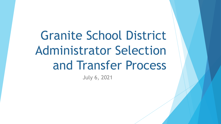Granite School District Administrator Selection and Transfer Process

July 6, 2021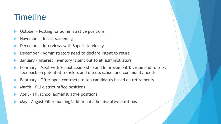### Timeline

- October Posting for administrative positions
- November Initial screening
- December Interviews with Superintendency
- December Administrators need to declare intent to retire
- January Interest Inventory is sent out to all administrators
- February Meet with School Leadership and Improvement Division and to seek feedback on potential transfers and discuss school and community needs
- February Offer open contracts to top candidates based on retirements
- March Fill district office positions
- April Fill school administrative positions
- May August Fill remaining/additional administrative positions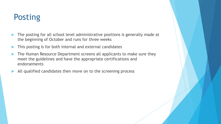## **Posting**

- The posting for all school level administrative positions is generally made at the beginning of October and runs for three weeks
- This posting is for both internal and external candidates
- The Human Resource Department screens all applicants to make sure they meet the guidelines and have the appropriate certifications and endorsements
- All qualified candidates then move on to the screening process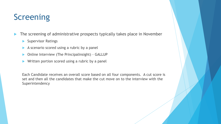# **Screening**

The screening of administrative prospects typically takes place in November

- Supervisor Ratings
- A scenario scored using a rubric by a panel
- Online Interview (The Principalinsight) GALLUP
- Written portion scored using a rubric by a panel

Each Candidate receives an overall score based on all four components. A cut score is set and then all the candidates that make the cut move on to the interview with the Superintendency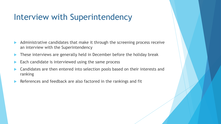## Interview with Superintendency

- Administrative candidates that make it through the screening process receive an interview with the Superintendency
- **These interviews are generally held in December before the holiday break**
- Each candidate is interviewed using the same process
- Candidates are then entered into selection pools based on their interests and ranking
- References and feedback are also factored in the rankings and fit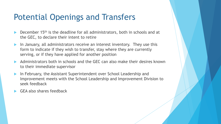## Potential Openings and Transfers

- December 15th is the deadline for all administrators, both in schools and at the GEC, to declare their intent to retire
- In January, all administrators receive an interest inventory. They use this form to indicate if they wish to transfer, stay where they are currently serving, or if they have applied for another position
- Administrators both in schools and the GEC can also make their desires known to their immediate supervisor
- In February, the Assistant Superintendent over School Leadership and Improvement meets with the School Leadership and Improvement Division to seek feedback
- GEA also shares feedback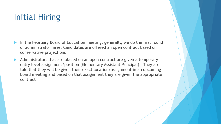# Initial Hiring

- In the February Board of Education meeting, generally, we do the first round of administrator hires. Candidates are offered an open contract based on conservative projections
- Administrators that are placed on an open contract are given a temporary entry level assignment/position (Elementary Assistant Principal). They are told that they will be given their exact location/assignment in an upcoming board meeting and based on that assignment they are given the appropriate contract